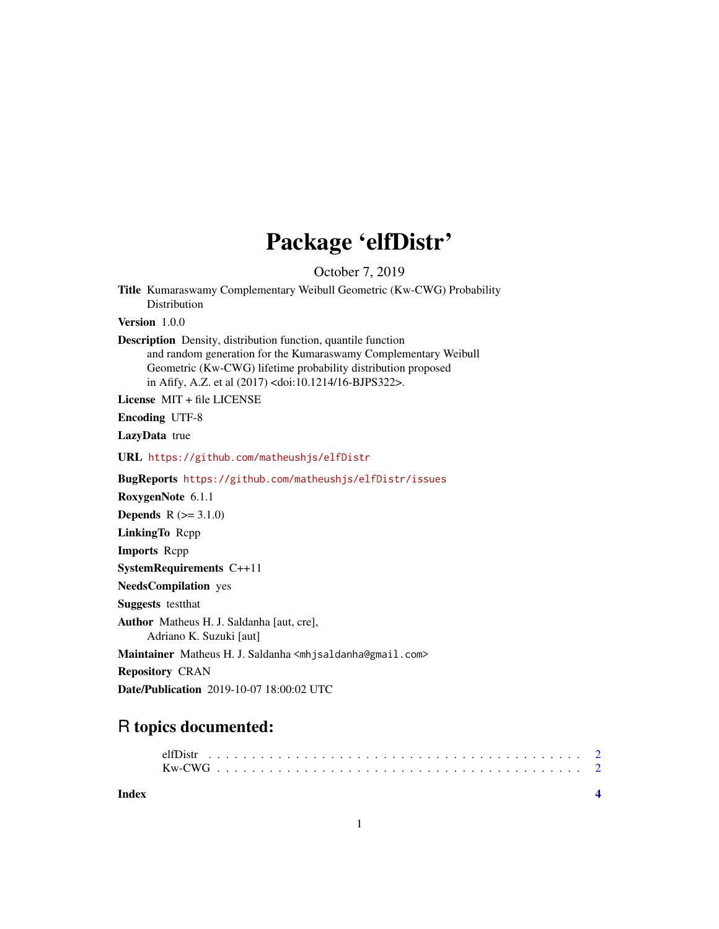## Package 'elfDistr'

October 7, 2019

Title Kumaraswamy Complementary Weibull Geometric (Kw-CWG) Probability Distribution Version 1.0.0 Description Density, distribution function, quantile function and random generation for the Kumaraswamy Complementary Weibull Geometric (Kw-CWG) lifetime probability distribution proposed in Afify, A.Z. et al (2017) <doi:10.1214/16-BJPS322>. License MIT + file LICENSE Encoding UTF-8 LazyData true URL <https://github.com/matheushjs/elfDistr> BugReports <https://github.com/matheushjs/elfDistr/issues> RoxygenNote 6.1.1 **Depends**  $R (= 3.1.0)$ LinkingTo Rcpp Imports Rcpp SystemRequirements C++11 NeedsCompilation yes Suggests testthat Author Matheus H. J. Saldanha [aut, cre], Adriano K. Suzuki [aut] Maintainer Matheus H. J. Saldanha <mhjsaldanha@gmail.com> Repository CRAN Date/Publication 2019-10-07 18:00:02 UTC

### R topics documented:

**Index** [4](#page-3-0)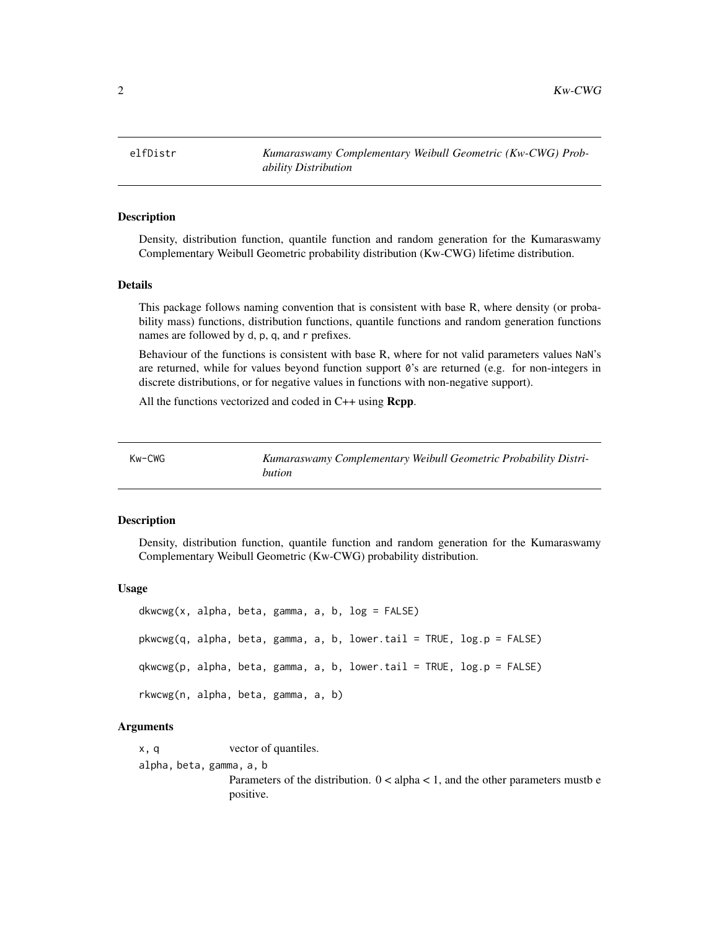<span id="page-1-0"></span>2  $Kw-CWG$ 

#### **Description**

Density, distribution function, quantile function and random generation for the Kumaraswamy Complementary Weibull Geometric probability distribution (Kw-CWG) lifetime distribution.

#### Details

This package follows naming convention that is consistent with base R, where density (or probability mass) functions, distribution functions, quantile functions and random generation functions names are followed by d, p, q, and r prefixes.

Behaviour of the functions is consistent with base R, where for not valid parameters values NaN's are returned, while for values beyond function support  $\theta$ 's are returned (e.g. for non-integers in discrete distributions, or for negative values in functions with non-negative support).

All the functions vectorized and coded in C++ using **Rcpp**.

| Kw-CWG | Kumaraswamy Complementary Weibull Geometric Probability Distri- |
|--------|-----------------------------------------------------------------|
|        | bution                                                          |

#### Description

Density, distribution function, quantile function and random generation for the Kumaraswamy Complementary Weibull Geometric (Kw-CWG) probability distribution.

#### Usage

```
dkwcwg(x, alpha, beta, gamma, a, b, log = FALSE)pkwcwg(q, alpha, beta, gamma, a, b, lower.tail = TRUE, log.p = FALSE)
qkwcwg(p, alpha, beta, gamma, a, b, lower.tail = TRUE, log.p = FALSE)
rkwcwg(n, alpha, beta, gamma, a, b)
```
#### Arguments

x, q vector of quantiles. alpha, beta, gamma, a, b Parameters of the distribution.  $0 <$  alpha  $< 1$ , and the other parameters mustbe positive.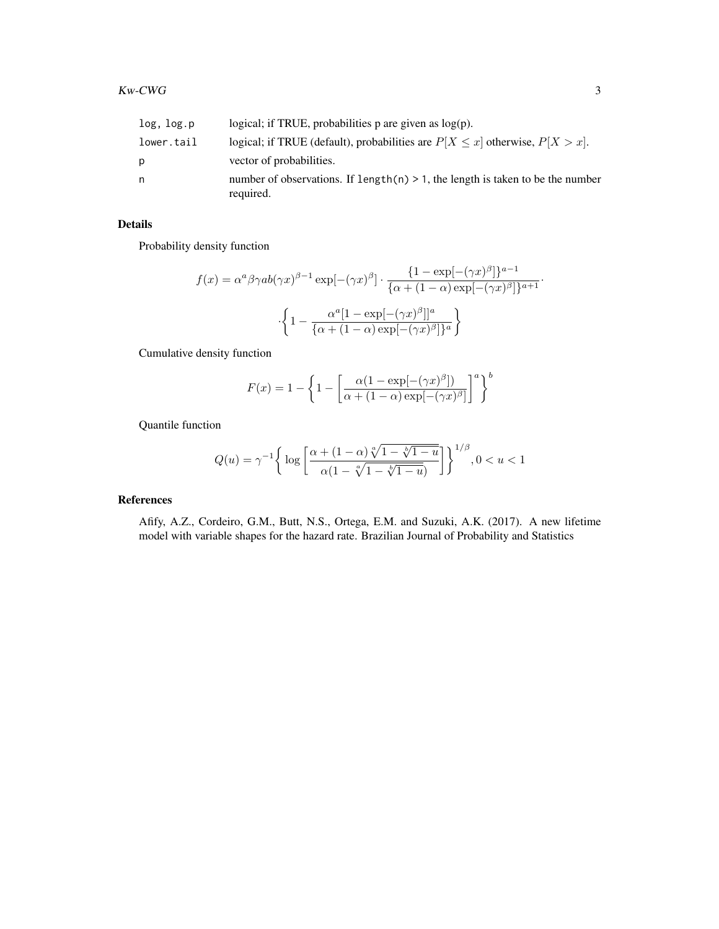| log, log.p | logical; if TRUE, probabilities p are given as $log(p)$ .                                      |
|------------|------------------------------------------------------------------------------------------------|
| lower.tail | logical; if TRUE (default), probabilities are $P[X \le x]$ otherwise, $P[X > x]$ .             |
| Ŋ.         | vector of probabilities.                                                                       |
| n          | number of observations. If length(n) $> 1$ , the length is taken to be the number<br>required. |

#### Details

Probability density function

$$
f(x) = \alpha^{a} \beta \gamma ab(\gamma x)^{\beta - 1} \exp[-(\gamma x)^{\beta}] \cdot \frac{\{1 - \exp[-(\gamma x)^{\beta}]\}^{a - 1}}{\{\alpha + (1 - \alpha) \exp[-(\gamma x)^{\beta}]\}^{a + 1}} \cdot \frac{\{\{1 - \frac{\alpha^{a}[1 - \exp[-(\gamma x)^{\beta}]]^{a}}{\{\alpha + (1 - \alpha) \exp[-(\gamma x)^{\beta}]\}^{a}}\}}{\beta}}.
$$

Cumulative density function

$$
F(x) = 1 - \left\{1 - \left[\frac{\alpha(1 - \exp[-(\gamma x)^{\beta}])}{\alpha + (1 - \alpha)\exp[-(\gamma x)^{\beta}]} \right]^a \right\}^b
$$

Quantile function

$$
Q(u)=\gamma^{-1}\bigg\{\log\bigg[\frac{\alpha+(1-\alpha)\sqrt[\alpha]{1-\sqrt[|b|]{1-u}}}{\alpha(1-\sqrt[\alpha]{1-\sqrt[|b|]{1-u}})}\bigg]\bigg\}^{1/\beta}, 0
$$

#### References

Afify, A.Z., Cordeiro, G.M., Butt, N.S., Ortega, E.M. and Suzuki, A.K. (2017). A new lifetime model with variable shapes for the hazard rate. Brazilian Journal of Probability and Statistics